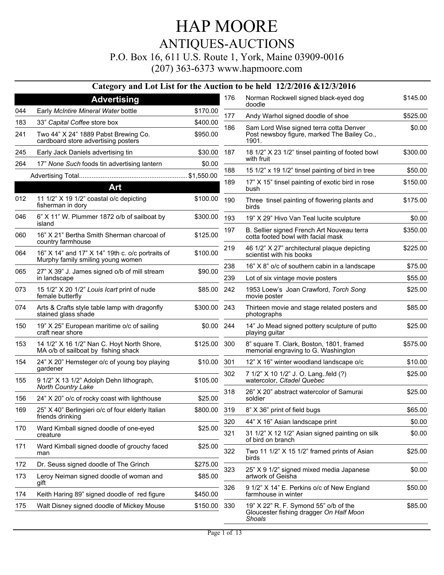P.O. Box 16, 611 U.S. Route 1, York, Maine 03909-0016

(207) 363-6373 www.hapmoore.com

|     |                                                                                       |              |     | Category and Lot List for the Auction to be held 12/2/2016 & 12/3/2016                            |          |
|-----|---------------------------------------------------------------------------------------|--------------|-----|---------------------------------------------------------------------------------------------------|----------|
|     | <b>Advertising</b>                                                                    |              | 176 | Norman Rockwell signed black-eyed dog<br>doodle                                                   | \$145.00 |
| 044 | Early McIntire Mineral Water bottle                                                   | \$170.00     | 177 | Andy Warhol signed doodle of shoe                                                                 | \$525.00 |
| 183 | 33" Capital Coffee store box                                                          | \$400.00     | 186 | Sam Lord Wise signed terra cotta Denver                                                           | \$0.00   |
| 241 | Two 44" X 24" 1889 Pabst Brewing Co.<br>cardboard store advertising posters           | \$950.00     |     | Post newsboy figure, marked The Bailey Co.,<br>1901.                                              |          |
| 245 | Early Jack Daniels advertising tin                                                    | \$30.00      | 187 | 18 1/2" X 23 1/2" tinsel painting of footed bowl<br>with fruit                                    | \$300.00 |
| 264 | 17" None Such foods tin advertising lantern                                           | \$0.00       | 188 | 15 1/2" x 19 1/2" tinsel painting of bird in tree                                                 | \$50.00  |
|     | <b>Art</b>                                                                            |              | 189 | 17" X 15" tinsel painting of exotic bird in rose<br>bush                                          | \$150.00 |
| 012 | 11 1/2" X 19 1/2" coastal o/c depicting<br>fisherman in dory                          | \$100.00     | 190 | Three tinsel painting of flowering plants and<br>birds                                            | \$175.00 |
| 046 | 6" X 11" W. Plummer 1872 o/b of sailboat by<br>island                                 | \$300.00     | 193 | 19" X 29" Hivo Van Teal lucite sculpture                                                          | \$0.00   |
| 060 | 16" X 21" Bertha Smith Sherman charcoal of<br>country farmhouse                       | \$125.00     | 197 | B. Sellier signed French Art Nouveau terra<br>cotta footed bowl with facial mask                  | \$350.00 |
| 064 | 16" X 14" and 17" X 14" 19th c. o/c portraits of<br>Murphy family smiling young women | \$100.00     | 219 | 46 1/2" X 27" architectural plaque depicting<br>scientist with his books                          | \$225.00 |
| 065 | 27" X 39" J. James signed o/b of mill stream                                          | \$90.00      | 238 | 16" X 8" o/c of southern cabin in a landscape                                                     | \$75.00  |
|     | in landscape                                                                          |              | 239 | Lot of six vintage movie posters                                                                  | \$55.00  |
| 073 | 15 1/2" X 20 1/2" Louis Icart print of nude<br>female butterfly                       | \$85.00      | 242 | 1953 Loew's Joan Crawford, Torch Song<br>movie poster                                             | \$25.00  |
| 074 | Arts & Crafts style table lamp with dragonfly<br>stained glass shade                  | \$300.00 243 |     | Thirteen movie and stage related posters and<br>photographs                                       | \$85.00  |
| 150 | 19" X 25" European maritime o/c of sailing<br>craft near shore                        | \$0.00 244   |     | 14" Jo Mead signed pottery sculpture of putto<br>playing guitar                                   | \$25.00  |
| 153 | 14 1/2" X 16 1/2" Nan C. Hoyt North Shore,<br>MA o/b of sailboat by fishing shack     | \$125.00 300 |     | 8" square T. Clark, Boston, 1801, framed<br>memorial engraving to G. Washington                   | \$575.00 |
| 154 | 24" X 20" Hemsteger o/c of young boy playing                                          | \$10.00      | 301 | 12" X 16" winter woodland landscape o/c                                                           | \$10.00  |
| 155 | gardener<br>9 1/2" X 13 1/2" Adolph Dehn lithograph,                                  | \$105.00     | 302 | 7 1/2" X 10 1/2" J. O. Lang. feld (?)<br>watercolor, Citadel Quebec                               | \$25.00  |
| 156 | North Country Lake<br>24" X 20" o/c of rocky coast with lighthouse                    | \$25.00      | 318 | 26" X 20" abstract watercolor of Samurai<br>soldier                                               | \$25.00  |
| 169 | 25" X 40" Berlingieri o/c of four elderly Italian                                     | \$800.00 319 |     | 8" X 36" print of field bugs                                                                      | \$65.00  |
|     | friends drinking                                                                      |              | 320 | 44" X 16" Asian landscape print                                                                   | \$0.00   |
| 170 | Ward Kimball signed doodle of one-eyed<br>creature                                    | \$25.00      | 321 | 31 1/2" X 12 1/2" Asian signed painting on silk<br>of bird on branch                              | \$0.00   |
| 171 | Ward Kimball signed doodle of grouchy faced<br>man                                    | \$25.00      | 322 | Two 11 1/2" X 15 1/2" framed prints of Asian<br>birds                                             | \$25.00  |
| 172 | Dr. Seuss signed doodle of The Grinch                                                 | \$275.00     | 323 | 25" X 9 1/2" signed mixed media Japanese                                                          | \$0.00   |
| 173 | Leroy Neiman signed doodle of woman and<br>gift                                       | \$85.00      |     | artwork of Geisha                                                                                 |          |
| 174 | Keith Haring 89" signed doodle of red figure                                          | \$450.00     | 326 | 9 1/2" X 14" E. Perkins o/c of New England<br>farmhouse in winter                                 | \$50.00  |
| 175 | Walt Disney signed doodle of Mickey Mouse                                             | \$150.00     | 330 | 19" X 22" R. F. Symond 55" o/b of the<br>Gloucester fishing dragger On Half Moon<br><b>Shoals</b> | \$85.00  |

 $\overline{a}$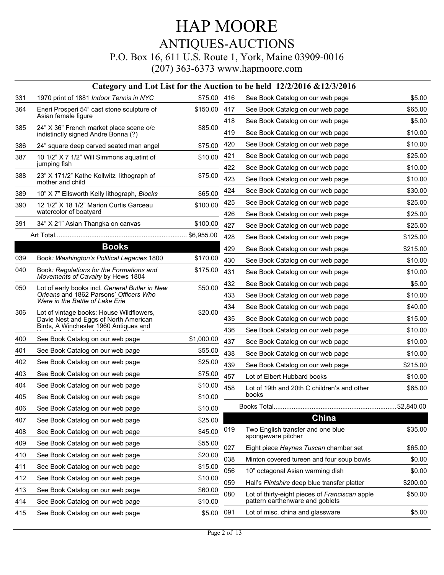## HAP MOORE ANTIQUES-AUCTIONS P.O. Box 16, 611 U.S. Route 1, York, Maine 03909-0016

|     |                                                                               |             |     | Category and Lot List for the Auction to be held 12/2/2016 & 12/3/2016 |          |
|-----|-------------------------------------------------------------------------------|-------------|-----|------------------------------------------------------------------------|----------|
| 331 | 1970 print of 1881 Indoor Tennis in NYC                                       | \$75.00 416 |     | See Book Catalog on our web page                                       | \$5.00   |
| 364 | Eneri Prosperi 54" cast stone sculpture of<br>Asian female figure             | \$150.00    | 417 | See Book Catalog on our web page                                       | \$65.00  |
| 385 | 24" X 36" French market place scene o/c                                       | \$85.00     | 418 | See Book Catalog on our web page                                       | \$5.00   |
|     | indistinctly signed Andre Bonna (?)                                           |             | 419 | See Book Catalog on our web page                                       | \$10.00  |
| 386 | 24" square deep carved seated man angel                                       | \$75.00     | 420 | See Book Catalog on our web page                                       | \$10.00  |
| 387 | 10 1/2" X 7 1/2" Will Simmons aquatint of                                     | \$10.00     | 421 | See Book Catalog on our web page                                       | \$25.00  |
|     | jumping fish                                                                  |             | 422 | See Book Catalog on our web page                                       | \$10.00  |
| 388 | 23" X 171/2" Kathe Kollwitz lithograph of<br>mother and child                 | \$75.00     | 423 | See Book Catalog on our web page                                       | \$10.00  |
| 389 | 10" X 7" Ellsworth Kelly lithograph, Blocks                                   | \$65.00     | 424 | See Book Catalog on our web page                                       | \$30.00  |
| 390 | 12 1/2" X 18 1/2" Marion Curtis Garceau                                       | \$100.00    | 425 | See Book Catalog on our web page                                       | \$25.00  |
|     | watercolor of boatyard                                                        |             | 426 | See Book Catalog on our web page                                       | \$25.00  |
| 391 | 34" X 21" Asian Thangka on canvas                                             | \$100.00    | 427 | See Book Catalog on our web page                                       | \$25.00  |
|     |                                                                               | \$6,955.00  | 428 | See Book Catalog on our web page                                       | \$125.00 |
|     | <b>Books</b>                                                                  |             | 429 | See Book Catalog on our web page                                       | \$215.00 |
| 039 | Book: Washington's Political Legacies 1800                                    | \$170.00    | 430 | See Book Catalog on our web page                                       | \$10.00  |
| 040 | Book: Regulations for the Formations and<br>Movements of Cavalry by Hews 1804 | \$175.00    | 431 | See Book Catalog on our web page                                       | \$10.00  |
| 050 | Lot of early books incl. General Butler in New                                | \$50.00     | 432 | See Book Catalog on our web page                                       | \$5.00   |
|     | Orleans and 1862 Parsons' Officers Who<br>Were in the Battle of Lake Erie     |             | 433 | See Book Catalog on our web page                                       | \$10.00  |
| 306 | Lot of vintage books: House Wildflowers,                                      | \$20.00     | 434 | See Book Catalog on our web page                                       | \$40.00  |
|     | Davie Nest and Eggs of North American                                         |             | 435 | See Book Catalog on our web page                                       | \$15.00  |
|     | Birds, A Winchester 1960 Antiques and                                         |             | 436 | See Book Catalog on our web page                                       | \$10.00  |
| 400 | See Book Catalog on our web page                                              | \$1,000.00  | 437 | See Book Catalog on our web page                                       | \$10.00  |
| 401 | See Book Catalog on our web page                                              | \$55.00     | 438 | See Book Catalog on our web page                                       | \$10.00  |
| 402 | See Book Catalog on our web page                                              | \$25.00     | 439 | See Book Catalog on our web page                                       | \$215.00 |
| 403 | See Book Catalog on our web page                                              | \$75.00     | 457 | Lot of Elbert Hubbard books                                            | \$10.00  |
| 404 | See Book Catalog on our web page                                              | \$10.00     | 458 | Lot of 19th and 20th C children's and other                            | \$65.00  |
| 405 | See Book Catalog on our web page                                              | \$10.00     |     | books                                                                  |          |
| 406 | See Book Catalog on our web page                                              | \$10.00     |     |                                                                        |          |
| 407 | See Book Catalog on our web page                                              | \$25.00     |     | China                                                                  |          |
| 408 | See Book Catalog on our web page                                              | \$45.00     | 019 | Two English transfer and one blue<br>spongeware pitcher                | \$35.00  |
| 409 | See Book Catalog on our web page                                              | \$55.00     | 027 | Eight piece Haynes Tuscan chamber set                                  | \$65.00  |
| 410 | See Book Catalog on our web page                                              | \$20.00     | 038 | Minton covered tureen and four soup bowls                              | \$0.00   |
| 411 | See Book Catalog on our web page                                              | \$15.00     | 056 | 10" octagonal Asian warming dish                                       | \$0.00   |
| 412 | See Book Catalog on our web page                                              | \$10.00     | 059 | Hall's Flintshire deep blue transfer platter                           | \$200.00 |
| 413 | See Book Catalog on our web page                                              | \$60.00     | 080 | Lot of thirty-eight pieces of Franciscan apple                         | \$50.00  |
| 414 | See Book Catalog on our web page                                              | \$10.00     |     | pattern earthenware and goblets                                        |          |
| 415 | See Book Catalog on our web page                                              | \$5.00      | 091 | Lot of misc. china and glassware                                       | \$5.00   |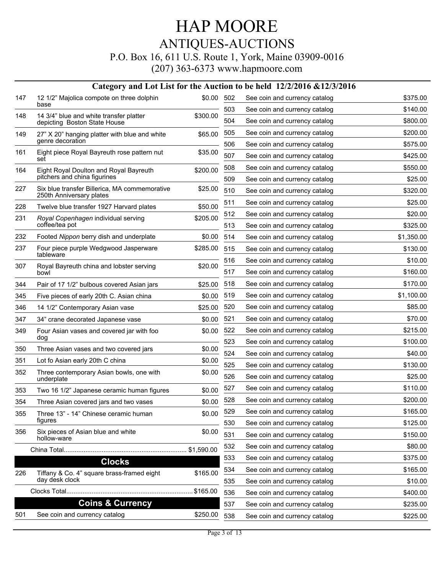P.O. Box 16, 611 U.S. Route 1, York, Maine 03909-0016

|     |                                                                           |            |     | Category and Lot List for the Auction to be held 12/2/2016 & 12/3/2016 |            |
|-----|---------------------------------------------------------------------------|------------|-----|------------------------------------------------------------------------|------------|
| 147 | 12 1/2" Majolica compote on three dolphin<br>base                         | \$0.00 502 |     | See coin and currency catalog                                          | \$375.00   |
| 148 | 14 3/4" blue and white transfer platter                                   | \$300.00   | 503 | See coin and currency catalog                                          | \$140.00   |
|     | depicting Boston State House                                              |            | 504 | See coin and currency catalog                                          | \$800.00   |
| 149 | 27" X 20" hanging platter with blue and white<br>genre decoration         | \$65.00    | 505 | See coin and currency catalog                                          | \$200.00   |
| 161 | Eight piece Royal Bayreuth rose pattern nut                               | \$35.00    | 506 | See coin and currency catalog                                          | \$575.00   |
|     | set                                                                       |            | 507 | See coin and currency catalog                                          | \$425.00   |
| 164 | Eight Royal Doulton and Royal Bayreuth                                    | \$200.00   | 508 | See coin and currency catalog                                          | \$550.00   |
|     | pitchers and china figurines                                              |            | 509 | See coin and currency catalog                                          | \$25.00    |
| 227 | Six blue transfer Billerica, MA commemorative<br>250th Anniversary plates | \$25.00    | 510 | See coin and currency catalog                                          | \$320.00   |
| 228 | Twelve blue transfer 1927 Harvard plates                                  | \$50.00    | 511 | See coin and currency catalog                                          | \$25.00    |
| 231 | Royal Copenhagen individual serving                                       | \$205.00   | 512 | See coin and currency catalog                                          | \$20.00    |
|     | coffee/tea pot                                                            |            | 513 | See coin and currency catalog                                          | \$325.00   |
| 232 | Footed Nippon berry dish and underplate                                   | \$0.00     | 514 | See coin and currency catalog                                          | \$1,350.00 |
| 237 | Four piece purple Wedgwood Jasperware<br>tableware                        | \$285.00   | 515 | See coin and currency catalog                                          | \$130.00   |
| 307 |                                                                           |            | 516 | See coin and currency catalog                                          | \$10.00    |
|     | Royal Bayreuth china and lobster serving<br>bowl                          | \$20.00    | 517 | See coin and currency catalog                                          | \$160.00   |
| 344 | Pair of 17 1/2" bulbous covered Asian jars                                | \$25.00    | 518 | See coin and currency catalog                                          | \$170.00   |
| 345 | Five pieces of early 20th C. Asian china                                  | \$0.00     | 519 | See coin and currency catalog                                          | \$1,100.00 |
| 346 | 14 1/2" Contemporary Asian vase                                           | \$25.00    | 520 | See coin and currency catalog                                          | \$85.00    |
| 347 | 34" crane decorated Japanese vase                                         | \$0.00     | 521 | See coin and currency catalog                                          | \$70.00    |
| 349 | Four Asian vases and covered jar with foo                                 | \$0.00     | 522 | See coin and currency catalog                                          | \$215.00   |
|     | dog                                                                       |            | 523 | See coin and currency catalog                                          | \$100.00   |
| 350 | Three Asian vases and two covered jars                                    | \$0.00     | 524 | See coin and currency catalog                                          | \$40.00    |
| 351 | Lot fo Asian early 20th C china                                           | \$0.00     | 525 | See coin and currency catalog                                          | \$130.00   |
| 352 | Three contemporary Asian bowls, one with<br>underplate                    | \$0.00     | 526 | See coin and currency catalog                                          | \$25.00    |
| 353 | Two 16 1/2" Japanese ceramic human figures                                | \$0.00     | 527 | See coin and currency catalog                                          | \$110.00   |
| 354 | Three Asian covered jars and two vases                                    | \$0.00     | 528 | See coin and currency catalog                                          | \$200.00   |
| 355 | Three 13" - 14" Chinese ceramic human                                     | \$0.00     | 529 | See coin and currency catalog                                          | \$165.00   |
|     | figures                                                                   |            | 530 | See coin and currency catalog                                          | \$125.00   |
| 356 | Six pieces of Asian blue and white<br>hollow-ware                         | \$0.00     | 531 | See coin and currency catalog                                          | \$150.00   |
|     |                                                                           |            | 532 | See coin and currency catalog                                          | \$80.00    |
|     | <b>Clocks</b>                                                             |            | 533 | See coin and currency catalog                                          | \$375.00   |
| 226 | Tiffany & Co. 4" square brass-framed eight                                | \$165.00   | 534 | See coin and currency catalog                                          | \$165.00   |
|     | day desk clock                                                            |            | 535 | See coin and currency catalog                                          | \$10.00    |
|     |                                                                           |            | 536 | See coin and currency catalog                                          | \$400.00   |
|     | <b>Coins &amp; Currency</b>                                               |            | 537 | See coin and currency catalog                                          | \$235.00   |
| 501 | See coin and currency catalog                                             | \$250.00   | 538 | See coin and currency catalog                                          | \$225.00   |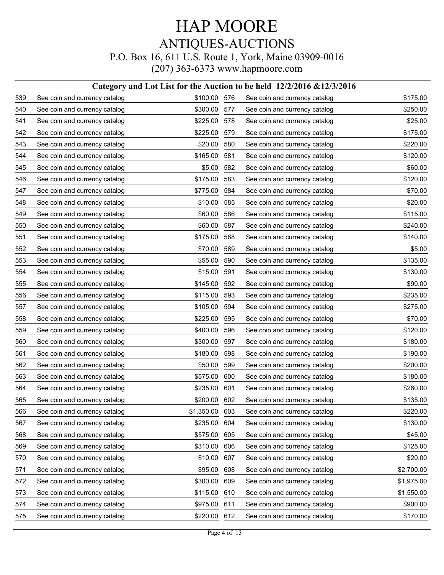#### **Category and Lot List for the Auction to be held 12/2/2016 &12/3/2016**

| 539 | See coin and currency catalog | \$100.00 576 |     | See coin and currency catalog | \$175.00   |
|-----|-------------------------------|--------------|-----|-------------------------------|------------|
| 540 | See coin and currency catalog | \$300.00     | 577 | See coin and currency catalog | \$250.00   |
| 541 | See coin and currency catalog | \$225.00     | 578 | See coin and currency catalog | \$25.00    |
| 542 | See coin and currency catalog | \$225.00     | 579 | See coin and currency catalog | \$175.00   |
| 543 | See coin and currency catalog | \$20.00      | 580 | See coin and currency catalog | \$220.00   |
| 544 | See coin and currency catalog | \$165.00     | 581 | See coin and currency catalog | \$120.00   |
| 545 | See coin and currency catalog | \$5.00       | 582 | See coin and currency catalog | \$60.00    |
| 546 | See coin and currency catalog | \$175.00     | 583 | See coin and currency catalog | \$120.00   |
| 547 | See coin and currency catalog | \$775.00     | 584 | See coin and currency catalog | \$70.00    |
| 548 | See coin and currency catalog | \$10.00      | 585 | See coin and currency catalog | \$20.00    |
| 549 | See coin and currency catalog | \$60.00      | 586 | See coin and currency catalog | \$115.00   |
| 550 | See coin and currency catalog | \$60.00      | 587 | See coin and currency catalog | \$240.00   |
| 551 | See coin and currency catalog | \$175.00     | 588 | See coin and currency catalog | \$140.00   |
| 552 | See coin and currency catalog | \$70.00      | 589 | See coin and currency catalog | \$5.00     |
| 553 | See coin and currency catalog | \$55.00      | 590 | See coin and currency catalog | \$135.00   |
| 554 | See coin and currency catalog | \$15.00      | 591 | See coin and currency catalog | \$130.00   |
| 555 | See coin and currency catalog | \$145.00     | 592 | See coin and currency catalog | \$90.00    |
| 556 | See coin and currency catalog | \$115.00     | 593 | See coin and currency catalog | \$235.00   |
| 557 | See coin and currency catalog | \$105.00     | 594 | See coin and currency catalog | \$275.00   |
| 558 | See coin and currency catalog | \$225.00     | 595 | See coin and currency catalog | \$70.00    |
| 559 | See coin and currency catalog | \$400.00     | 596 | See coin and currency catalog | \$120.00   |
| 560 | See coin and currency catalog | \$300.00     | 597 | See coin and currency catalog | \$180.00   |
| 561 | See coin and currency catalog | \$180.00     | 598 | See coin and currency catalog | \$190.00   |
| 562 | See coin and currency catalog | \$50.00      | 599 | See coin and currency catalog | \$200.00   |
| 563 | See coin and currency catalog | \$575.00     | 600 | See coin and currency catalog | \$180.00   |
| 564 | See coin and currency catalog | \$235.00     | 601 | See coin and currency catalog | \$260.00   |
| 565 | See coin and currency catalog | \$200.00     | 602 | See coin and currency catalog | \$135.00   |
| 566 | See coin and currency catalog | \$1,350.00   | 603 | See coin and currency catalog | \$220.00   |
| 567 | See coin and currency catalog | \$235.00     | 604 | See coin and currency catalog | \$130.00   |
| 568 | See coin and currency catalog | \$575.00     | 605 | See coin and currency catalog | \$45.00    |
| 569 | See coin and currency catalog | \$310.00     | 606 | See coin and currency catalog | \$125.00   |
| 570 | See coin and currency catalog | \$10.00      | 607 | See coin and currency catalog | \$20.00    |
| 571 | See coin and currency catalog | \$95.00      | 608 | See coin and currency catalog | \$2,700.00 |
| 572 | See coin and currency catalog | \$300.00     | 609 | See coin and currency catalog | \$1,975.00 |
| 573 | See coin and currency catalog | \$115.00     | 610 | See coin and currency catalog | \$1,550.00 |
| 574 | See coin and currency catalog | \$975.00     | 611 | See coin and currency catalog | \$900.00   |
| 575 | See coin and currency catalog | \$220.00     | 612 | See coin and currency catalog | \$170.00   |
|     |                               |              |     |                               |            |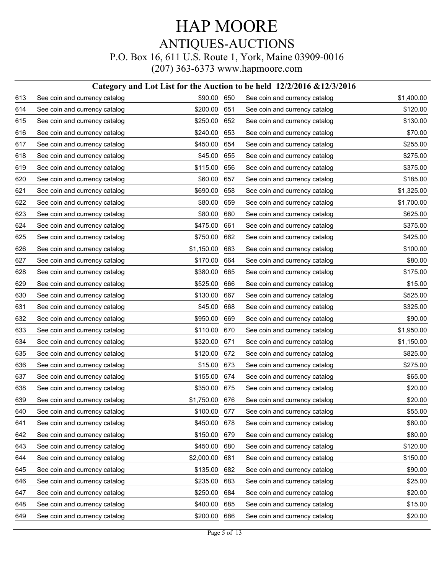#### **Category and Lot List for the Auction to be held 12/2/2016 &12/3/2016**

| 613 | See coin and currency catalog | \$90.00 650  |     | See coin and currency catalog | \$1,400.00 |
|-----|-------------------------------|--------------|-----|-------------------------------|------------|
| 614 | See coin and currency catalog | \$200.00     | 651 | See coin and currency catalog | \$120.00   |
| 615 | See coin and currency catalog | \$250.00     | 652 | See coin and currency catalog | \$130.00   |
| 616 | See coin and currency catalog | \$240.00     | 653 | See coin and currency catalog | \$70.00    |
| 617 | See coin and currency catalog | \$450.00     | 654 | See coin and currency catalog | \$255.00   |
| 618 | See coin and currency catalog | \$45.00      | 655 | See coin and currency catalog | \$275.00   |
| 619 | See coin and currency catalog | \$115.00     | 656 | See coin and currency catalog | \$375.00   |
| 620 | See coin and currency catalog | \$60.00      | 657 | See coin and currency catalog | \$185.00   |
| 621 | See coin and currency catalog | \$690.00     | 658 | See coin and currency catalog | \$1,325.00 |
| 622 | See coin and currency catalog | \$80.00      | 659 | See coin and currency catalog | \$1,700.00 |
| 623 | See coin and currency catalog | \$80.00      | 660 | See coin and currency catalog | \$625.00   |
| 624 | See coin and currency catalog | \$475.00     | 661 | See coin and currency catalog | \$375.00   |
| 625 | See coin and currency catalog | \$750.00     | 662 | See coin and currency catalog | \$425.00   |
| 626 | See coin and currency catalog | \$1,150.00   | 663 | See coin and currency catalog | \$100.00   |
| 627 | See coin and currency catalog | \$170.00     | 664 | See coin and currency catalog | \$80.00    |
| 628 | See coin and currency catalog | \$380.00     | 665 | See coin and currency catalog | \$175.00   |
| 629 | See coin and currency catalog | \$525.00     | 666 | See coin and currency catalog | \$15.00    |
| 630 | See coin and currency catalog | \$130.00     | 667 | See coin and currency catalog | \$525.00   |
| 631 | See coin and currency catalog | \$45.00      | 668 | See coin and currency catalog | \$325.00   |
| 632 | See coin and currency catalog | \$950.00     | 669 | See coin and currency catalog | \$90.00    |
| 633 | See coin and currency catalog | \$110.00     | 670 | See coin and currency catalog | \$1,950.00 |
| 634 | See coin and currency catalog | \$320.00     | 671 | See coin and currency catalog | \$1,150.00 |
| 635 | See coin and currency catalog | \$120.00     | 672 | See coin and currency catalog | \$825.00   |
| 636 | See coin and currency catalog | \$15.00      | 673 | See coin and currency catalog | \$275.00   |
| 637 | See coin and currency catalog | \$155.00     | 674 | See coin and currency catalog | \$65.00    |
| 638 | See coin and currency catalog | \$350.00     | 675 | See coin and currency catalog | \$20.00    |
| 639 | See coin and currency catalog | \$1,750.00   | 676 | See coin and currency catalog | \$20.00    |
| 640 | See coin and currency catalog | \$100.00 677 |     | See coin and currency catalog | \$55.00    |
| 641 | See coin and currency catalog | \$450.00     | 678 | See coin and currency catalog | \$80.00    |
| 642 | See coin and currency catalog | \$150.00     | 679 | See coin and currency catalog | \$80.00    |
| 643 | See coin and currency catalog | \$450.00     | 680 | See coin and currency catalog | \$120.00   |
| 644 | See coin and currency catalog | \$2,000.00   | 681 | See coin and currency catalog | \$150.00   |
| 645 | See coin and currency catalog | \$135.00     | 682 | See coin and currency catalog | \$90.00    |
| 646 | See coin and currency catalog | \$235.00     | 683 | See coin and currency catalog | \$25.00    |
| 647 | See coin and currency catalog | \$250.00     | 684 | See coin and currency catalog | \$20.00    |
| 648 | See coin and currency catalog | \$400.00     | 685 | See coin and currency catalog | \$15.00    |
| 649 | See coin and currency catalog | \$200.00     | 686 | See coin and currency catalog | \$20.00    |
|     |                               |              |     |                               |            |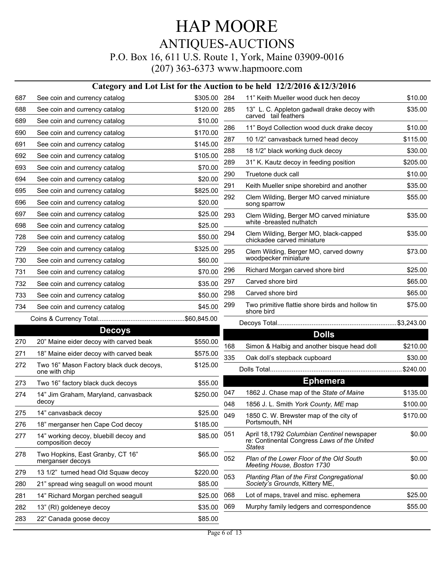|     |                                                            |              |     | Category and Lot List for the Auction to be held 12/2/2016 & 12/3/2016                              |          |
|-----|------------------------------------------------------------|--------------|-----|-----------------------------------------------------------------------------------------------------|----------|
| 687 | See coin and currency catalog                              | \$305.00 284 |     | 11" Keith Mueller wood duck hen decoy                                                               | \$10.00  |
| 688 | See coin and currency catalog                              | \$120.00     | 285 | 13" L. C. Appleton gadwall drake decoy with                                                         | \$35.00  |
| 689 | See coin and currency catalog                              | \$10.00      |     | carved tail feathers                                                                                |          |
| 690 | See coin and currency catalog                              | \$170.00     | 286 | 11" Boyd Collection wood duck drake decoy                                                           | \$10.00  |
| 691 | See coin and currency catalog                              | \$145.00     | 287 | 10 1/2" canvasback turned head decoy                                                                | \$115.00 |
| 692 | See coin and currency catalog                              | \$105.00     | 288 | 18 1/2" black working duck decoy                                                                    | \$30.00  |
| 693 | See coin and currency catalog                              | \$70.00      | 289 | 31" K. Kautz decoy in feeding position                                                              | \$205.00 |
| 694 | See coin and currency catalog                              | \$20.00      | 290 | Truetone duck call                                                                                  | \$10.00  |
| 695 | See coin and currency catalog                              | \$825.00     | 291 | Keith Mueller snipe shorebird and another                                                           | \$35.00  |
| 696 | See coin and currency catalog                              | \$20.00      | 292 | Clem Wilding, Berger MO carved miniature<br>song sparrow                                            | \$55.00  |
| 697 | See coin and currency catalog                              | \$25.00      | 293 | Clem Wilding, Berger MO carved miniature                                                            | \$35.00  |
| 698 | See coin and currency catalog                              | \$25.00      |     | white -breasted nuthatch                                                                            |          |
| 728 | See coin and currency catalog                              | \$50.00      | 294 | Clem Wilding, Berger MO, black-capped<br>chickadee carved miniature                                 | \$35.00  |
| 729 | See coin and currency catalog                              | \$325.00     | 295 | Clem Wilding, Berger MO, carved downy                                                               | \$73.00  |
| 730 | See coin and currency catalog                              | \$60.00      |     | woodpecker miniature                                                                                |          |
| 731 | See coin and currency catalog                              | \$70.00      | 296 | Richard Morgan carved shore bird                                                                    | \$25.00  |
| 732 | See coin and currency catalog                              | \$35.00      | 297 | Carved shore bird                                                                                   | \$65.00  |
| 733 | See coin and currency catalog                              | \$50.00      | 298 | Carved shore bird                                                                                   | \$65.00  |
| 734 | See coin and currency catalog                              | \$45.00      | 299 | Two primitive flattie shore birds and hollow tin<br>shore bird                                      | \$75.00  |
|     |                                                            |              |     |                                                                                                     |          |
|     | <b>Decoys</b>                                              |              |     | <b>Dolls</b>                                                                                        |          |
| 270 | 20" Maine eider decoy with carved beak                     | \$550.00     | 168 | Simon & Halbig and another bisque head doll                                                         | \$210.00 |
| 271 | 18" Maine eider decoy with carved beak                     | \$575.00     | 335 | Oak doll's stepback cupboard                                                                        | \$30.00  |
| 272 | Two 16" Mason Factory black duck decoys,<br>one with chip  | \$125.00     |     |                                                                                                     | \$240.00 |
| 273 | Two 16" factory black duck decoys                          | \$55.00      |     | <b>Ephemera</b>                                                                                     |          |
| 274 | 14" Jim Graham, Maryland, canvasback                       | \$250.00     | 047 | 1862 J. Chase map of the State of Maine                                                             | \$135.00 |
|     | decoy                                                      |              | 048 | 1856 J. L. Smith York County, ME map                                                                | \$100.00 |
| 275 | 14" canvasback decoy                                       | \$25.00      | 049 | 1850 C. W. Brewster map of the city of                                                              | \$170.00 |
| 276 | 18" merganser hen Cape Cod decoy                           | \$185.00     |     | Portsmouth, NH                                                                                      |          |
| 277 | 14" working decoy, bluebill decoy and<br>composition decov | \$85.00      | 051 | April 18,1792 Columbian Centinel newspaper<br>re: Continental Congress Laws of the United<br>States | \$0.00   |
| 278 | Two Hopkins, East Granby, CT 16"<br>merganser decoys       | \$65.00      | 052 | Plan of the Lower Floor of the Old South<br>Meeting House, Boston 1730                              | \$0.00   |
| 279 | 13 1/2" turned head Old Squaw decoy                        | \$220.00     | 053 | <b>Planting Plan of the First Congregational</b>                                                    | \$0.00   |
| 280 | 21" spread wing seagull on wood mount                      | \$85.00      |     | Society's Grounds, Kittery ME,                                                                      |          |
| 281 | 14" Richard Morgan perched seagull                         | \$25.00      | 068 | Lot of maps, travel and misc. ephemera                                                              | \$25.00  |
| 282 | 13" (RI) goldeneye decoy                                   | \$35.00      | 069 | Murphy family ledgers and correspondence                                                            | \$55.00  |
| 283 | 22" Canada goose decoy                                     | \$85.00      |     |                                                                                                     |          |
|     |                                                            |              |     |                                                                                                     |          |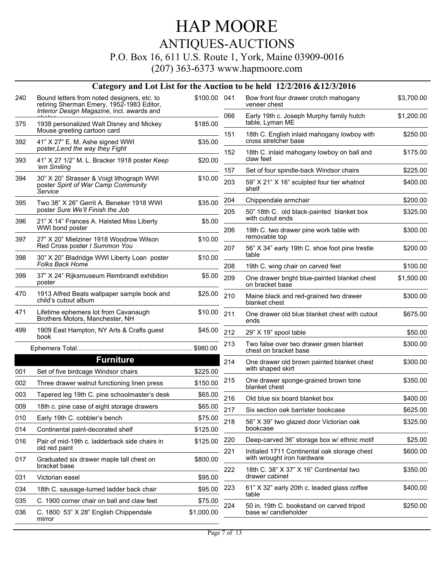P.O. Box 16, 611 U.S. Route 1, York, Maine 03909-0016

| Bound letters from noted designers, etc. to                                                 |                                                                                                                                                                                                                                                                                                                                      |                                                    |                                                                     |                                                                                                                                                                                                                                                                                                                                                       |
|---------------------------------------------------------------------------------------------|--------------------------------------------------------------------------------------------------------------------------------------------------------------------------------------------------------------------------------------------------------------------------------------------------------------------------------------|----------------------------------------------------|---------------------------------------------------------------------|-------------------------------------------------------------------------------------------------------------------------------------------------------------------------------------------------------------------------------------------------------------------------------------------------------------------------------------------------------|
| retiring Sherman Emery, 1952-1983 Editor,                                                   | \$100.00 041                                                                                                                                                                                                                                                                                                                         |                                                    | Bow front four drawer crotch mahogany<br>veneer chest               | \$3,700.00                                                                                                                                                                                                                                                                                                                                            |
| 1938 personalized Walt Disney and Mickey                                                    | \$185.00                                                                                                                                                                                                                                                                                                                             | 066                                                | Early 19th c. Joseph Murphy family hutch<br>table, Lyman ME         | \$1,200.00                                                                                                                                                                                                                                                                                                                                            |
|                                                                                             |                                                                                                                                                                                                                                                                                                                                      | 151                                                | 18th C. English inlaid mahogany lowboy with<br>cross stretcher base | \$250.00                                                                                                                                                                                                                                                                                                                                              |
| poster, Lend the way they Fight                                                             |                                                                                                                                                                                                                                                                                                                                      |                                                    | 18th C. inlaid mahogany lowboy on ball and                          | \$175.00                                                                                                                                                                                                                                                                                                                                              |
| 'em Smiling                                                                                 |                                                                                                                                                                                                                                                                                                                                      |                                                    |                                                                     | \$225.00                                                                                                                                                                                                                                                                                                                                              |
| 30" X 20" Strasser & Voigt lithograph WWI<br>poster Spirit of War Camp Community<br>Service | \$10.00                                                                                                                                                                                                                                                                                                                              | 203                                                | 59" X 21" X 16" sculpted four tier whatnot<br>shelf                 | \$400.00                                                                                                                                                                                                                                                                                                                                              |
| Two 38" X 26" Gerrit A. Beneker 1918 WWI                                                    | \$35.00                                                                                                                                                                                                                                                                                                                              | 204                                                | Chippendale armchair                                                | \$200.00                                                                                                                                                                                                                                                                                                                                              |
| poster Sure We'll Finish the Job                                                            |                                                                                                                                                                                                                                                                                                                                      | 205                                                | 50" 18th C. old black-painted blanket box<br>with cutout ends       | \$325.00                                                                                                                                                                                                                                                                                                                                              |
| WWI bond poster                                                                             |                                                                                                                                                                                                                                                                                                                                      | 206                                                | 19th C. two drawer pine work table with                             | \$300.00                                                                                                                                                                                                                                                                                                                                              |
| Red Cross poster I Summon You                                                               |                                                                                                                                                                                                                                                                                                                                      | 207                                                | 56" X 34" early 19th C. shoe foot pine trestle                      | \$200.00                                                                                                                                                                                                                                                                                                                                              |
| <b>Folks Back Home</b>                                                                      |                                                                                                                                                                                                                                                                                                                                      | 208                                                | 19th C. wing chair on carved feet                                   | \$100.00                                                                                                                                                                                                                                                                                                                                              |
| 37" X 24" Rijksmuseum Rembrandt exhibition<br>poster                                        | \$5.00                                                                                                                                                                                                                                                                                                                               | 209                                                | One drawer bright blue-painted blanket chest                        | \$1,500.00                                                                                                                                                                                                                                                                                                                                            |
| 1913 Alfred Beats wallpaper sample book and<br>child's cutout album                         | \$25.00                                                                                                                                                                                                                                                                                                                              | 210                                                | Maine black and red-grained two drawer<br>blanket chest             | \$300.00                                                                                                                                                                                                                                                                                                                                              |
| Lifetime ephemera lot from Cavanaugh<br>Brothers Motors, Manchester, NH                     | \$10.00                                                                                                                                                                                                                                                                                                                              | 211                                                | One drawer old blue blanket chest with cutout<br>ends               | \$675.00                                                                                                                                                                                                                                                                                                                                              |
| 1909 East Hampton, NY Arts & Crafts guest<br>book                                           | \$45.00                                                                                                                                                                                                                                                                                                                              | 212                                                | 29" X 19" spool table                                               | \$50.00                                                                                                                                                                                                                                                                                                                                               |
|                                                                                             |                                                                                                                                                                                                                                                                                                                                      | 213                                                | Two false over two drawer green blanket<br>chest on bracket base    | \$300.00                                                                                                                                                                                                                                                                                                                                              |
| <b>Furniture</b>                                                                            |                                                                                                                                                                                                                                                                                                                                      | 214                                                | One drawer old brown painted blanket chest                          | \$300.00                                                                                                                                                                                                                                                                                                                                              |
| Set of five birdcage Windsor chairs                                                         | \$225.00                                                                                                                                                                                                                                                                                                                             |                                                    |                                                                     |                                                                                                                                                                                                                                                                                                                                                       |
| Three drawer walnut functioning linen press                                                 | \$150.00                                                                                                                                                                                                                                                                                                                             |                                                    | blanket chest                                                       | \$350.00                                                                                                                                                                                                                                                                                                                                              |
| Tapered leg 19th C. pine schoolmaster's desk                                                | \$65.00                                                                                                                                                                                                                                                                                                                              | 216                                                | Old blue six board blanket box                                      | \$400.00                                                                                                                                                                                                                                                                                                                                              |
| 18th c. pine case of eight storage drawers                                                  | \$65.00                                                                                                                                                                                                                                                                                                                              |                                                    |                                                                     | \$625.00                                                                                                                                                                                                                                                                                                                                              |
| Early 19th C. cobbler's bench                                                               | \$75.00                                                                                                                                                                                                                                                                                                                              | 218                                                | 56" X 39" two glazed door Victorian oak                             | \$325.00                                                                                                                                                                                                                                                                                                                                              |
| Continental paint-decorated shelf                                                           | \$125.00                                                                                                                                                                                                                                                                                                                             |                                                    | bookcase                                                            |                                                                                                                                                                                                                                                                                                                                                       |
| Pair of mid-19th c. ladderback side chairs in                                               | \$125.00                                                                                                                                                                                                                                                                                                                             | 220                                                | Deep-carved 36" storage box w/ ethnic motif                         | \$25.00                                                                                                                                                                                                                                                                                                                                               |
| Graduated six drawer maple tall chest on                                                    | \$800.00                                                                                                                                                                                                                                                                                                                             |                                                    | with wrought iron hardware                                          | \$600.00                                                                                                                                                                                                                                                                                                                                              |
| Victorian easel                                                                             | \$95.00                                                                                                                                                                                                                                                                                                                              |                                                    | drawer cabinet                                                      | \$350.00                                                                                                                                                                                                                                                                                                                                              |
| 18th C. sausage-turned ladder back chair                                                    | \$95.00                                                                                                                                                                                                                                                                                                                              | 223                                                | 61" X 32" early 20th c. leaded glass coffee                         | \$400.00                                                                                                                                                                                                                                                                                                                                              |
| C. 1900 corner chair on ball and claw feet                                                  | \$75.00                                                                                                                                                                                                                                                                                                                              |                                                    |                                                                     |                                                                                                                                                                                                                                                                                                                                                       |
| C. 1800 53" X 28" English Chippendale<br>mirror                                             | \$1,000.00                                                                                                                                                                                                                                                                                                                           |                                                    | base w/ candleholder                                                | \$250.00                                                                                                                                                                                                                                                                                                                                              |
|                                                                                             | Interior Design Magazine, incl. awards and<br>Mouse greeting cartoon card<br>41" X 27" E. M. Ashe signed WWI<br>41" X 27 1/2" M. L. Bracker 1918 poster Keep<br>21" X 14" Frances A. Halsted Miss Liberty<br>27" X 20" Mielziner 1918 Woodrow Wilson<br>30" X 20" Bladridge WWI Liberty Loan poster<br>old red paint<br>bracket base | \$35.00<br>\$20.00<br>\$5.00<br>\$10.00<br>\$10.00 | $\frac{1}{2}$ 152<br>157<br>215<br>217<br>221<br>222<br>224         | claw feet<br>Set of four spindle-back Windsor chairs<br>removable top<br>table<br>on bracket base<br>with shaped skirt<br>One drawer sponge-grained brown tone<br>Six section oak barrister bookcase<br>Initialed 1711 Continental oak storage chest<br>18th C. 38" X 37" X 16" Continental two<br>table<br>50 in. 19th C. bookstand on carved tripod |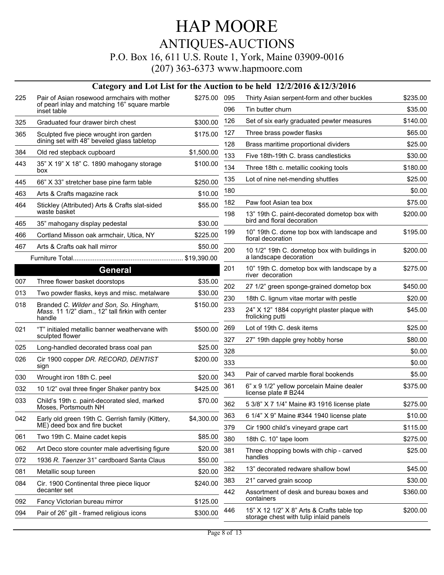#### P.O. Box 16, 611 U.S. Route 1, York, Maine 03909-0016

|            |                                                                                                       |                      |            | Category and Lot List for the Auction to be held 12/2/2016 &12/3/2016                |          |
|------------|-------------------------------------------------------------------------------------------------------|----------------------|------------|--------------------------------------------------------------------------------------|----------|
| 225        | Pair of Asian rosewood armchairs with mother                                                          | \$275.00             | 095        | Thirty Asian serpent-form and other buckles                                          | \$235.00 |
|            | of pearl inlay and matching 16" square marble<br>inset table                                          |                      | 096        | Tin butter churn                                                                     | \$35.00  |
| 325        | Graduated four drawer birch chest                                                                     | \$300.00             | 126        | Set of six early graduated pewter measures                                           | \$140.00 |
| 365        | Sculpted five piece wrought iron garden                                                               | \$175.00             | 127        | Three brass powder flasks                                                            | \$65.00  |
|            | dining set with 48" beveled glass tabletop                                                            |                      | 128        | Brass maritime proportional dividers                                                 | \$25.00  |
| 384        | Old red stepback cupboard                                                                             | \$1,500.00           | 133        | Five 18th-19th C. brass candlesticks                                                 | \$30.00  |
| 443        | 35" X 19" X 18" C. 1890 mahogany storage<br>box                                                       | \$100.00             | 134        | Three 18th c. metallic cooking tools                                                 | \$180.00 |
| 445        | 66" X 33" stretcher base pine farm table                                                              | \$250.00             | 135        | Lot of nine net-mending shuttles                                                     | \$25.00  |
| 463        | Arts & Crafts magazine rack                                                                           | \$10.00              | 180        |                                                                                      | \$0.00   |
| 464        | Stickley (Attributed) Arts & Crafts slat-sided<br>waste basket                                        | \$55.00              | 182<br>198 | Paw foot Asian tea box                                                               | \$75.00  |
| 465        | 35" mahogany display pedestal                                                                         | \$30.00              |            | 13" 19th C. paint-decorated dometop box with<br>bird and floral decoration           | \$200.00 |
| 466        | Cortland Misson oak armchair, Utica, NY                                                               | \$225.00             | 199        | 10" 19th C. dome top box with landscape and<br>floral decoration                     | \$195.00 |
| 467        | Arts & Crafts oak hall mirror                                                                         | \$50.00              | 200        | 10 1/2" 19th C. dometop box with buildings in                                        | \$200.00 |
|            |                                                                                                       |                      |            | a landscape decoration                                                               |          |
|            | <b>General</b>                                                                                        |                      | 201        | 10" 19th C. dometop box with landscape by a<br>river decoration                      | \$275.00 |
| 007        | Three flower basket doorstops                                                                         | \$35.00              | 202        | 27 1/2" green sponge-grained dometop box                                             | \$450.00 |
| 013        | Two powder flasks, keys and misc. metalware                                                           | \$30.00              | 230        | 18th C. lignum vitae mortar with pestle                                              | \$20.00  |
| 018        | Branded C. Wilder and Son, So. Hingham,<br>Mass. 11 1/2" diam., 12" tall firkin with center<br>handle | \$150.00             | 233        | 24" X 12" 1884 copyright plaster plaque with<br>frolicking putti                     | \$45.00  |
| 021        | "T" initialed metallic banner weathervane with                                                        | \$500.00             | 269        | Lot of 19th C. desk items                                                            | \$25.00  |
|            | sculpted flower                                                                                       |                      | 327        | 27" 19th dapple grey hobby horse                                                     | \$80.00  |
| 025        | Long-handled decorated brass coal pan                                                                 | \$25.00              | 328        |                                                                                      | \$0.00   |
| 026        | Cir 1900 copper DR. RECORD, DENTIST<br>sıgn                                                           | \$200.00             | 333        |                                                                                      | \$0.00   |
| 030        | Wrought iron 18th C. peel                                                                             | \$20.00              | 343        | Pair of carved marble floral bookends                                                | \$5.00   |
| 032        | 10 1/2" oval three finger Shaker pantry box                                                           | \$425.00             | 361        | 6" x 9 1/2" yellow porcelain Maine dealer<br>license plate # B244                    | \$375.00 |
| 033        | Child's 19th c. paint-decorated sled, marked<br>Moses. Portsmouth NH                                  | \$70.00              | 362        | 5 3/8" X 7 1/4" Maine #3 1916 license plate                                          | \$275.00 |
| 042        | Early old green 19th C. Gerrish family (Kittery,                                                      | \$4,300.00           | 363        | 6 1/4" X 9" Maine #344 1940 license plate                                            | \$10.00  |
|            | ME) deed box and fire bucket                                                                          |                      | 379        | Cir 1900 child's vineyard grape cart                                                 | \$115.00 |
| 061        | Two 19th C. Maine cadet kepis                                                                         | \$85.00              | 380        | 18th C. 10" tape loom                                                                | \$275.00 |
| 062        | Art Deco store counter male advertising figure                                                        | \$20.00              | 381        | Three chopping bowls with chip - carved                                              | \$25.00  |
| 072        | 1936 R. Taenzer 31" cardboard Santa Claus                                                             | \$50.00              |            | handles                                                                              |          |
| 081        | Metallic soup tureen                                                                                  | \$20.00              | 382        | 13" decorated redware shallow bowl                                                   | \$45.00  |
| 084        | Cir. 1900 Continental three piece liquor                                                              | \$240.00             | 383        | 21" carved grain scoop                                                               | \$30.00  |
|            | decanter set                                                                                          |                      | 442        | Assortment of desk and bureau boxes and<br>containers                                | \$360.00 |
| 092<br>094 | Fancy Victorian bureau mirror<br>Pair of 26" gilt - framed religious icons                            | \$125.00<br>\$300.00 | 446        | 15" X 12 1/2" X 8" Arts & Crafts table top<br>storage chest with tulip inlaid panels | \$200.00 |
|            |                                                                                                       |                      |            |                                                                                      |          |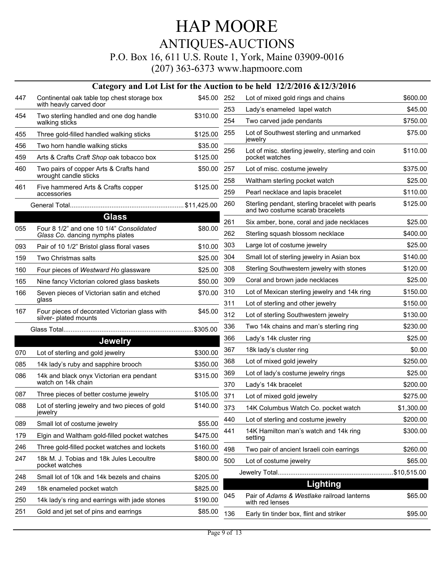#### P.O. Box 16, 611 U.S. Route 1, York, Maine 03909-0016

|     |                                                                             |             |     | Category and Lot List for the Auction to be held 12/2/2016 & 12/3/2016              |            |
|-----|-----------------------------------------------------------------------------|-------------|-----|-------------------------------------------------------------------------------------|------------|
| 447 | Continental oak table top chest storage box<br>with heavly carved door      | \$45.00 252 |     | Lot of mixed gold rings and chains                                                  | \$600.00   |
| 454 | Two sterling handled and one dog handle                                     | \$310.00    | 253 | Lady's enameled lapel watch                                                         | \$45.00    |
|     | walking sticks                                                              |             | 254 | Two carved jade pendants                                                            | \$750.00   |
| 455 | Three gold-filled handled walking sticks                                    | \$125.00    | 255 | Lot of Southwest sterling and unmarked<br>jewelry                                   | \$75.00    |
| 456 | Two horn handle walking sticks                                              | \$35.00     | 256 | Lot of misc. sterling jewelry, sterling and coin                                    | \$110.00   |
| 459 | Arts & Crafts Craft Shop oak tobacco box                                    | \$125.00    |     | pocket watches                                                                      |            |
| 460 | Two pairs of copper Arts & Crafts hand<br>wrought candle sticks             | \$50.00     | 257 | Lot of misc. costume jewelry                                                        | \$375.00   |
| 461 | Five hammered Arts & Crafts copper                                          | \$125.00    | 258 | Waltham sterling pocket watch                                                       | \$25.00    |
|     | accessories                                                                 |             | 259 | Pearl necklace and lapis bracelet                                                   | \$110.00   |
|     |                                                                             |             | 260 | Sterling pendant, sterling bracelet with pearls<br>and two costume scarab bracelets | \$125.00   |
|     | <b>Glass</b>                                                                |             | 261 | Six amber, bone, coral and jade necklaces                                           | \$25.00    |
| 055 | Four 8 1/2" and one 10 1/4" Consolidated<br>Glass Co. dancing nymphs plates | \$80.00     | 262 | Sterling squash blossom necklace                                                    | \$400.00   |
| 093 | Pair of 10 1/2" Bristol glass floral vases                                  | \$10.00     | 303 | Large lot of costume jewelry                                                        | \$25.00    |
| 159 | Two Christmas salts                                                         | \$25.00     | 304 | Small lot of sterling jewelry in Asian box                                          | \$140.00   |
| 160 | Four pieces of Westward Ho glassware                                        | \$25.00     | 308 | Sterling Southwestern jewelry with stones                                           | \$120.00   |
| 165 | Nine fancy Victorian colored glass baskets                                  | \$50.00     | 309 | Coral and brown jade necklaces                                                      | \$25.00    |
| 166 | Seven pieces of Victorian satin and etched                                  | \$70.00     | 310 | Lot of Mexican sterling jewelry and 14k ring                                        | \$150.00   |
|     | glass                                                                       |             | 311 | Lot of sterling and other jewelry                                                   | \$150.00   |
| 167 | Four pieces of decorated Victorian glass with<br>silver- plated mounts      | \$45.00     | 312 | Lot of sterling Southwestern jewelry                                                | \$130.00   |
|     |                                                                             | \$305.00    | 336 | Two 14k chains and man's sterling ring                                              | \$230.00   |
|     | <b>Jewelry</b>                                                              |             | 366 | Lady's 14k cluster ring                                                             | \$25.00    |
| 070 | Lot of sterling and gold jewelry                                            | \$300.00    | 367 | 18k lady's cluster ring                                                             | \$0.00     |
| 085 | 14k lady's ruby and sapphire brooch                                         | \$350.00    | 368 | Lot of mixed gold jewelry                                                           | \$250.00   |
| 086 | 14k and black onyx Victorian era pendant                                    | \$315.00    | 369 | Lot of lady's costume jewelry rings                                                 | \$25.00    |
|     | watch on 14k chain                                                          |             | 370 | Lady's 14k bracelet                                                                 | \$200.00   |
| 087 | Three pieces of better costume jewelry                                      | \$105.00    | 371 | Lot of mixed gold jewelry                                                           | \$275.00   |
| 088 | Lot of sterling jewelry and two pieces of gold<br>jewelry                   | \$140.00    | 373 | 14K Columbus Watch Co. pocket watch                                                 | \$1,300.00 |
| 089 | Small lot of costume jewelry                                                | \$55.00     | 440 | Lot of sterling and costume jewelry                                                 | \$200.00   |
| 179 | Elgin and Waltham gold-filled pocket watches                                | \$475.00    | 441 | 14K Hamilton man's watch and 14k ring<br>setting                                    | \$300.00   |
| 246 | Three gold-filled pocket watches and lockets                                | \$160.00    | 498 | Two pair of ancient Israeli coin earrings                                           | \$260.00   |
| 247 | 18k M. J. Tobias and 18k Jules Lecoultre                                    | \$800.00    | 500 | Lot of costume jewelry                                                              | \$65.00    |
|     | pocket watches                                                              |             |     |                                                                                     |            |
| 248 | Small lot of 10k and 14k bezels and chains                                  | \$205.00    |     |                                                                                     |            |
| 249 | 18k enameled pocket watch                                                   | \$825.00    |     | Lighting                                                                            |            |
| 250 | 14k lady's ring and earrings with jade stones                               | \$190.00    | 045 | Pair of Adams & Westlake railroad lanterns<br>with red lenses                       | \$65.00    |
| 251 | Gold and jet set of pins and earrings                                       | \$85.00     | 136 | Early tin tinder box, flint and striker                                             | \$95.00    |
|     |                                                                             |             |     |                                                                                     |            |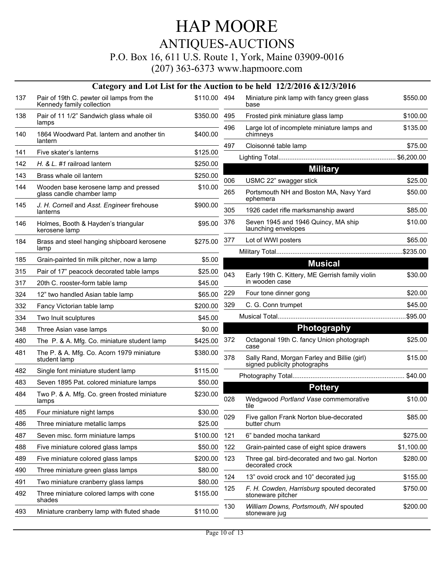P.O. Box 16, 611 U.S. Route 1, York, Maine 03909-0016

|     |                                                                        |              |     | Category and Lot List for the Auction to be held 12/2/2016 & 12/3/2016      |            |
|-----|------------------------------------------------------------------------|--------------|-----|-----------------------------------------------------------------------------|------------|
| 137 | Pair of 19th C. pewter oil lamps from the<br>Kennedy family collection | \$110.00 494 |     | Miniature pink lamp with fancy green glass<br>base                          | \$550.00   |
| 138 | Pair of 11 1/2" Sandwich glass whale oil<br>lamps                      | \$350.00     | 495 | Frosted pink miniature glass lamp                                           | \$100.00   |
| 140 | 1864 Woodward Pat. lantern and another tin<br>lantern                  | \$400.00     | 496 | Large lot of incomplete miniature lamps and<br>chimneys                     | \$135.00   |
|     |                                                                        |              | 497 | Cloisonné table lamp                                                        | \$75.00    |
| 141 | Five skater's lanterns                                                 | \$125.00     |     |                                                                             |            |
| 142 | H. & L. #1 railroad lantern                                            | \$250.00     |     | <b>Military</b>                                                             |            |
| 143 | Brass whale oil lantern                                                | \$250.00     | 006 | USMC 22" swagger stick                                                      | \$25.00    |
| 144 | Wooden base kerosene lamp and pressed<br>glass candle chamber lamp     | \$10.00      | 265 | Portsmouth NH and Boston MA, Navy Yard<br>ephemera                          | \$50.00    |
| 145 | J. H. Cornell and Asst. Engineer firehouse<br>lanterns                 | \$900.00     | 305 | 1926 cadet rifle marksmanship award                                         | \$85.00    |
| 146 | Holmes, Booth & Hayden's triangular<br>kerosene lamp                   | \$95.00      | 376 | Seven 1945 and 1946 Quincy, MA ship<br>launching envelopes                  | \$10.00    |
| 184 | Brass and steel hanging shipboard kerosene                             | \$275.00     | 377 | Lot of WWI posters                                                          | \$65.00    |
|     | lamp                                                                   |              |     |                                                                             |            |
| 185 | Grain-painted tin milk pitcher, now a lamp                             | \$5.00       |     | <b>Musical</b>                                                              |            |
| 315 | Pair of 17" peacock decorated table lamps                              | \$25.00      | 043 | Early 19th C. Kittery, ME Gerrish family violin                             | \$30.00    |
| 317 | 20th C. rooster-form table lamp                                        | \$45.00      |     | in wooden case                                                              |            |
| 324 | 12" two handled Asian table lamp                                       | \$65.00      | 229 | Four tone dinner gong                                                       | \$20.00    |
| 332 | Fancy Victorian table lamp                                             | \$200.00     | 329 | C. G. Conn trumpet                                                          | \$45.00    |
| 334 | Two Inuit sculptures                                                   | \$45.00      |     |                                                                             |            |
| 348 | Three Asian vase lamps                                                 | \$0.00       |     | <b>Photography</b>                                                          |            |
| 480 | The P. & A. Mfg. Co. miniature student lamp                            | \$425.00     | 372 | Octagonal 19th C. fancy Union photograph<br>case                            | \$25.00    |
| 481 | The P. & A. Mfg. Co. Acorn 1979 miniature<br>student lamp              | \$380.00     | 378 | Sally Rand, Morgan Farley and Billie (girl)<br>signed publicity photographs | \$15.00    |
| 482 | Single font miniature student lamp                                     | \$115.00     |     |                                                                             |            |
| 483 | Seven 1895 Pat. colored miniature lamps                                | \$50.00      |     | <b>Pottery</b>                                                              |            |
| 484 | Two P. & A. Mfg. Co. green frosted miniature<br>lamps                  | \$230.00     | 028 | Wedgwood Portland Vase commemorative<br>tile                                | \$10.00    |
| 485 | Four miniature night lamps                                             | \$30.00      | 029 | Five gallon Frank Norton blue-decorated                                     | \$85.00    |
| 486 | Three miniature metallic lamps                                         | \$25.00      |     | butter churn                                                                |            |
| 487 | Seven misc. form miniature lamps                                       | \$100.00     | 121 | 6" banded mocha tankard                                                     | \$275.00   |
| 488 | Five miniature colored glass lamps                                     | \$50.00      | 122 | Grain-painted case of eight spice drawers                                   | \$1,100.00 |
| 489 | Five miniature colored glass lamps                                     | \$200.00     | 123 | Three gal. bird-decorated and two gal. Norton                               | \$280.00   |
| 490 | Three miniature green glass lamps                                      | \$80.00      |     | decorated crock                                                             |            |
| 491 | Two miniature cranberry glass lamps                                    | \$80.00      | 124 | 13" ovoid crock and 10" decorated jug                                       | \$155.00   |
| 492 | Three miniature colored lamps with cone<br>shades                      | \$155.00     | 125 | F. H. Cowden, Harrisburg spouted decorated<br>stoneware pitcher             | \$750.00   |
| 493 | Miniature cranberry lamp with fluted shade                             | \$110.00     | 130 | William Downs, Portsmouth, NH spouted<br>stoneware jug                      | \$200.00   |
|     |                                                                        |              |     |                                                                             |            |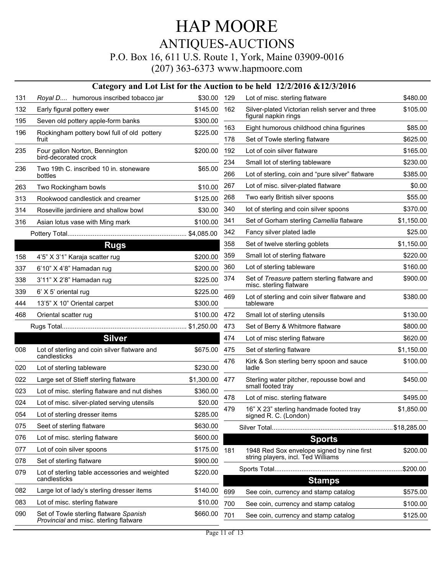## HAP MOORE ANTIQUES-AUCTIONS P.O. Box 16, 611 U.S. Route 1, York, Maine 03909-0016

|     |                                                                                  |            |     | Category and Lot List for the Auction to be held 12/2/2016 & 12/3/2016   |            |
|-----|----------------------------------------------------------------------------------|------------|-----|--------------------------------------------------------------------------|------------|
| 131 | Royal D humorous inscribed tobacco jar                                           | \$30.00    | 129 | Lot of misc. sterling flatware                                           | \$480.00   |
| 132 | Early figural pottery ewer                                                       | \$145.00   | 162 | Silver-plated Victorian relish server and three                          | \$105.00   |
| 195 | Seven old pottery apple-form banks                                               | \$300.00   |     | figural napkin rings                                                     |            |
| 196 | Rockingham pottery bowl full of old pottery                                      | \$225.00   | 163 | Eight humorous childhood china figurines                                 | \$85.00    |
|     | fruit                                                                            |            | 178 | Set of Towle sterling flatware                                           | \$625.00   |
| 235 | Four gallon Norton, Bennington<br>bird-decorated crock                           | \$200.00   | 192 | Lot of coin silver flatware                                              | \$165.00   |
| 236 | Two 19th C. inscribed 10 in. stoneware                                           | \$65.00    | 234 | Small lot of sterling tableware                                          | \$230.00   |
|     | bottles                                                                          |            | 266 | Lot of sterling, coin and "pure silver" flatware                         | \$385.00   |
| 263 | Two Rockingham bowls                                                             | \$10.00    | 267 | Lot of misc. silver-plated flatware                                      | \$0.00     |
| 313 | Rookwood candlestick and creamer                                                 | \$125.00   | 268 | Two early British silver spoons                                          | \$55.00    |
| 314 | Roseville jardiniere and shallow bowl                                            | \$30.00    | 340 | lot of sterling and coin silver spoons                                   | \$370.00   |
| 316 | Asian lotus vase with Ming mark                                                  | \$100.00   | 341 | Set of Gorham sterling Camellia flatware                                 | \$1,150.00 |
|     |                                                                                  |            | 342 | Fancy silver plated ladle                                                | \$25.00    |
|     | <b>Rugs</b>                                                                      |            | 358 | Set of twelve sterling goblets                                           | \$1,150.00 |
| 158 | 4'5" X 3'1" Karaja scatter rug                                                   | \$200.00   | 359 | Small lot of sterling flatware                                           | \$220.00   |
| 337 | 6'10" X 4'8" Hamadan rug                                                         | \$200.00   | 360 | Lot of sterling tableware                                                | \$160.00   |
| 338 | 3'11" X 2'8" Hamadan rug                                                         | \$225.00   | 374 | Set of Treasure pattern sterling flatware and<br>misc. sterling flatware | \$900.00   |
| 339 | 6' X 5' oriental rug                                                             | \$225.00   | 469 | Lot of sterling and coin silver flatware and                             | \$380.00   |
| 444 | 13'5" X 10" Oriental carpet                                                      | \$300.00   |     | tableware                                                                |            |
| 468 | Oriental scatter rug                                                             | \$100.00   | 472 | Small lot of sterling utensils                                           | \$130.00   |
|     |                                                                                  |            | 473 | Set of Berry & Whitmore flatware                                         | \$800.00   |
|     | <b>Silver</b>                                                                    |            | 474 | Lot of misc sterling flatware                                            | \$620.00   |
| 008 | Lot of sterling and coin silver flatware and<br>candlesticks                     | \$675.00   | 475 | Set of sterling flatware                                                 | \$1,150.00 |
| 020 | Lot of sterling tableware                                                        | \$230.00   | 476 | Kirk & Son sterling berry spoon and sauce<br>ladle                       | \$100.00   |
| 022 | Large set of Stieff sterling flatware                                            | \$1,300.00 | 477 | Sterling water pitcher, repousse bowl and                                | \$450.00   |
| 023 | Lot of misc. sterling flatware and nut dishes                                    | \$360.00   |     | small footed tray                                                        |            |
| 024 | Lot of misc. silver-plated serving utensils                                      | \$20.00    | 478 | Lot of misc. sterling flatware                                           | \$495.00   |
| 054 | Lot of sterling dresser items                                                    | \$285.00   | 479 | 16" X 23" sterling handmade footed tray<br>signed R. C. (London)         | \$1,850.00 |
| 075 | Seet of sterling flatware                                                        | \$630.00   |     |                                                                          |            |
| 076 | Lot of misc. sterling flatware                                                   | \$600.00   |     | <b>Sports</b>                                                            |            |
| 077 | Lot of coin silver spoons                                                        | \$175.00   | 181 | 1948 Red Sox envelope signed by nine first                               | \$200.00   |
| 078 | Set of sterling flatware                                                         | \$900.00   |     | string players, incl. Ted Williams                                       |            |
| 079 | Lot of sterling table accessories and weighted<br>candlesticks                   | \$220.00   |     | <b>Stamps</b>                                                            |            |
| 082 | Large lot of lady's sterling dresser items                                       | \$140.00   | 699 | See coin, currency and stamp catalog                                     | \$575.00   |
| 083 | Lot of misc. sterling flatware                                                   | \$10.00    | 700 | See coin, currency and stamp catalog                                     | \$100.00   |
| 090 | Set of Towle sterling flatware Spanish<br>Provincial and misc. sterling flatware | \$660.00   | 701 | See coin, currency and stamp catalog                                     | \$125.00   |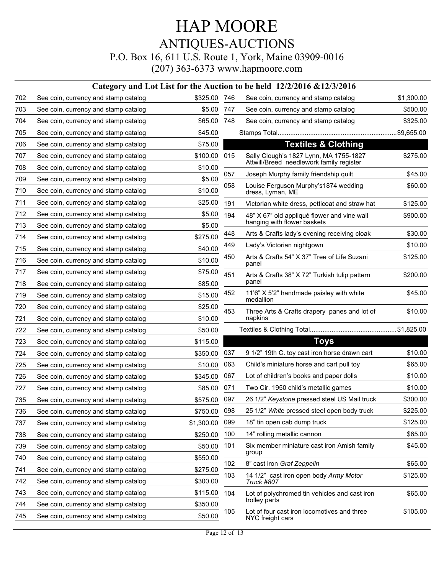|     |                                      |              |     | Category and Lot List for the Auction to be held 12/2/2016 &12/3/2016 |            |
|-----|--------------------------------------|--------------|-----|-----------------------------------------------------------------------|------------|
| 702 | See coin, currency and stamp catalog | \$325.00 746 |     | See coin, currency and stamp catalog                                  | \$1,300.00 |
| 703 | See coin, currency and stamp catalog | \$5.00       | 747 | See coin, currency and stamp catalog                                  | \$500.00   |
| 704 | See coin, currency and stamp catalog | \$65.00      | 748 | See coin, currency and stamp catalog                                  | \$325.00   |
| 705 | See coin, currency and stamp catalog | \$45.00      |     |                                                                       |            |
| 706 | See coin, currency and stamp catalog | \$75.00      |     | <b>Textiles &amp; Clothing</b>                                        |            |
| 707 | See coin, currency and stamp catalog | \$100.00     | 015 | Sally Clough's 1827 Lynn, MA 1755-1827                                | \$275.00   |
| 708 | See coin, currency and stamp catalog | \$10.00      |     | Attwill/Breed needlework family register                              |            |
| 709 | See coin, currency and stamp catalog | \$5.00       | 057 | Joseph Murphy family friendship quilt                                 | \$45.00    |
| 710 | See coin, currency and stamp catalog | \$10.00      | 058 | Louise Ferguson Murphy's1874 wedding<br>dress, Lyman, ME              | \$60.00    |
| 711 | See coin, currency and stamp catalog | \$25.00      | 191 | Victorian white dress, petticoat and straw hat                        | \$125.00   |
| 712 | See coin, currency and stamp catalog | \$5.00       | 194 | 48" X 67" old appliqué flower and vine wall                           | \$900.00   |
| 713 | See coin, currency and stamp catalog | \$5.00       |     | hanging with flower baskets                                           |            |
| 714 | See coin, currency and stamp catalog | \$275.00     | 448 | Arts & Crafts lady's evening receiving cloak                          | \$30.00    |
| 715 | See coin, currency and stamp catalog | \$40.00      | 449 | Lady's Victorian nightgown                                            | \$10.00    |
| 716 | See coin, currency and stamp catalog | \$10.00      | 450 | Arts & Crafts 54" X 37" Tree of Life Suzani<br>panel                  | \$125.00   |
| 717 | See coin, currency and stamp catalog | \$75.00      | 451 | Arts & Crafts 38" X 72" Turkish tulip pattern                         | \$200.00   |
| 718 | See coin, currency and stamp catalog | \$85.00      |     | panel                                                                 |            |
| 719 | See coin, currency and stamp catalog | \$15.00      | 452 | 11'6" X 5'2" handmade paisley with white<br>medallion                 | \$45.00    |
| 720 | See coin, currency and stamp catalog | \$25.00      | 453 | Three Arts & Crafts drapery panes and lot of                          | \$10.00    |
| 721 | See coin, currency and stamp catalog | \$10.00      |     | napkins                                                               |            |
| 722 | See coin, currency and stamp catalog | \$50.00      |     |                                                                       |            |
| 723 | See coin, currency and stamp catalog | \$115.00     |     | <b>Toys</b>                                                           |            |
| 724 | See coin, currency and stamp catalog | \$350.00     | 037 | 9 1/2" 19th C. toy cast iron horse drawn cart                         | \$10.00    |
| 725 | See coin, currency and stamp catalog | \$10.00      | 063 | Child's miniature horse and cart pull toy                             | \$65.00    |
| 726 | See coin, currency and stamp catalog | \$345.00     | 067 | Lot of children's books and paper dolls                               | \$10.00    |
| 727 | See coin, currency and stamp catalog | \$85.00      | 071 | Two Cir. 1950 child's metallic games                                  | \$10.00    |
| 735 | See coin, currency and stamp catalog | \$575.00     | 097 | 26 1/2" Keystone pressed steel US Mail truck                          | \$300.00   |
| 736 | See coin, currency and stamp catalog | \$750.00     | 098 | 25 1/2" White pressed steel open body truck                           | \$225.00   |
| 737 | See coin, currency and stamp catalog | \$1,300.00   | 099 | 18" tin open cab dump truck                                           | \$125.00   |
| 738 | See coin, currency and stamp catalog | \$250.00     | 100 | 14" rolling metallic cannon                                           | \$65.00    |
| 739 | See coin, currency and stamp catalog | \$50.00      | 101 | Six member miniature cast iron Amish family                           | \$45.00    |
| 740 | See coin, currency and stamp catalog | \$550.00     |     | group                                                                 |            |
| 741 | See coin, currency and stamp catalog | \$275.00     | 102 | 8" cast iron Graf Zeppelin                                            | \$65.00    |
| 742 | See coin, currency and stamp catalog | \$300.00     | 103 | 14 1/2" cast iron open body Army Motor<br>Truck #807                  | \$125.00   |
| 743 | See coin, currency and stamp catalog | \$115.00     | 104 | Lot of polychromed tin vehicles and cast iron                         | \$65.00    |
| 744 | See coin, currency and stamp catalog | \$350.00     |     | trolley parts                                                         |            |
| 745 | See coin, currency and stamp catalog | \$50.00      | 105 | Lot of four cast iron locomotives and three<br>NYC freight cars       | \$105.00   |
|     |                                      |              |     |                                                                       |            |